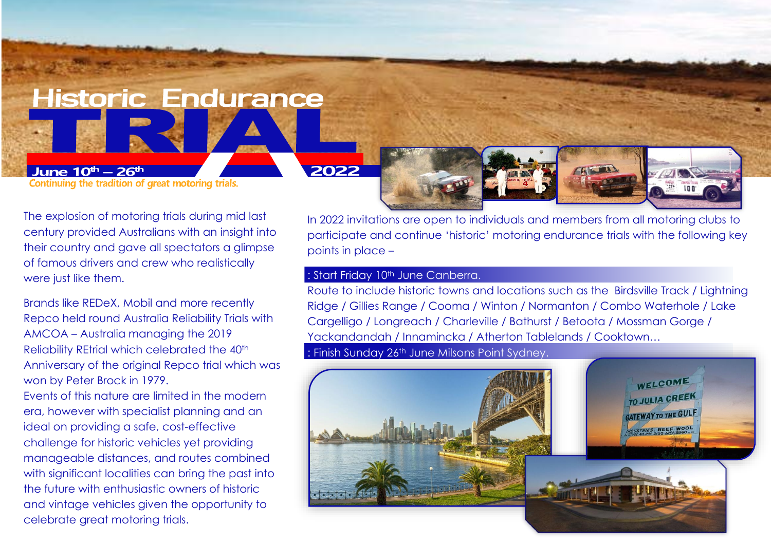**Historic Endurance** 

June  $10^{th} - 26^{th}$ Continuing the tradition of great motoring trials. 2022

The explosion of motoring trials during mid last century provided Australians with an insight into their country and gave all spectators a glimpse of famous drivers and crew who realistically were just like them.

Brands like REDeX, Mobil and more recently Repco held round Australia Reliability Trials with AMCOA – Australia managing the 2019 Reliability REtrial which celebrated the 40<sup>th</sup> Anniversary of the original Repco trial which was won by Peter Brock in 1979.

Events of this nature are limited in the modern era, however with specialist planning and an ideal on providing a safe, cost-effective challenge for historic vehicles yet providing manageable distances, and routes combined with significant localities can bring the past into the future with enthusiastic owners of historic and vintage vehicles given the opportunity to celebrate great motoring trials.

In 2022 invitations are open to individuals and members from all motoring clubs to participate and continue 'historic' motoring endurance trials with the following key points in place –

## : Start Friday 10<sup>th</sup> June Canberra.

Route to include historic towns and locations such as the Birdsville Track / Lightning Ridge / Gillies Range / Cooma / Winton / Normanton / Combo Waterhole / Lake Cargelligo / Longreach / Charleville / Bathurst / Betoota / Mossman Gorge / Yackandandah / Innamincka / Atherton Tablelands / Cooktown… : Finish Sunday 26<sup>th</sup> June Milsons Point Sydney.